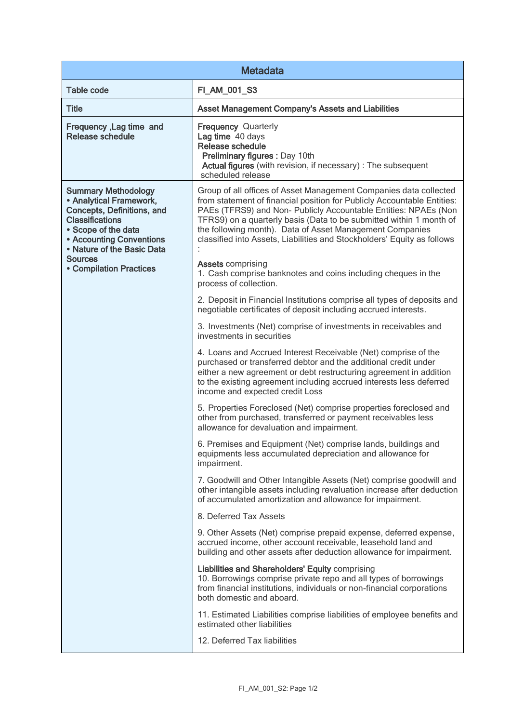| <b>Metadata</b>                                                                                                                                                                                                  |                                                                                                                                                                                                                                                                                                                                                                                                                               |  |
|------------------------------------------------------------------------------------------------------------------------------------------------------------------------------------------------------------------|-------------------------------------------------------------------------------------------------------------------------------------------------------------------------------------------------------------------------------------------------------------------------------------------------------------------------------------------------------------------------------------------------------------------------------|--|
| <b>Table code</b>                                                                                                                                                                                                | FI_AM_001_S3                                                                                                                                                                                                                                                                                                                                                                                                                  |  |
| <b>Title</b>                                                                                                                                                                                                     | Asset Management Company's Assets and Liabilities                                                                                                                                                                                                                                                                                                                                                                             |  |
| Frequency, Lag time and<br><b>Release schedule</b>                                                                                                                                                               | <b>Frequency Quarterly</b><br>Lag time 40 days<br><b>Release schedule</b><br>Preliminary figures : Day 10th<br>Actual figures (with revision, if necessary) : The subsequent<br>scheduled release                                                                                                                                                                                                                             |  |
| <b>Summary Methodology</b><br>• Analytical Framework,<br>Concepts, Definitions, and<br><b>Classifications</b><br>• Scope of the data<br>• Accounting Conventions<br>• Nature of the Basic Data<br><b>Sources</b> | Group of all offices of Asset Management Companies data collected<br>from statement of financial position for Publicly Accountable Entities:<br>PAEs (TFRS9) and Non- Publicly Accountable Entities: NPAEs (Non<br>TFRS9) on a quarterly basis (Data to be submitted within 1 month of<br>the following month). Data of Asset Management Companies<br>classified into Assets, Liabilities and Stockholders' Equity as follows |  |
| <b>• Compilation Practices</b>                                                                                                                                                                                   | <b>Assets comprising</b><br>1. Cash comprise banknotes and coins including cheques in the<br>process of collection.                                                                                                                                                                                                                                                                                                           |  |
|                                                                                                                                                                                                                  | 2. Deposit in Financial Institutions comprise all types of deposits and<br>negotiable certificates of deposit including accrued interests.                                                                                                                                                                                                                                                                                    |  |
|                                                                                                                                                                                                                  | 3. Investments (Net) comprise of investments in receivables and<br>investments in securities                                                                                                                                                                                                                                                                                                                                  |  |
|                                                                                                                                                                                                                  | 4. Loans and Accrued Interest Receivable (Net) comprise of the<br>purchased or transferred debtor and the additional credit under<br>either a new agreement or debt restructuring agreement in addition<br>to the existing agreement including accrued interests less deferred<br>income and expected credit Loss                                                                                                             |  |
|                                                                                                                                                                                                                  | 5. Properties Foreclosed (Net) comprise properties foreclosed and<br>other from purchased, transferred or payment receivables less<br>allowance for devaluation and impairment.                                                                                                                                                                                                                                               |  |
|                                                                                                                                                                                                                  | 6. Premises and Equipment (Net) comprise lands, buildings and<br>equipments less accumulated depreciation and allowance for<br>impairment.                                                                                                                                                                                                                                                                                    |  |
|                                                                                                                                                                                                                  | 7. Goodwill and Other Intangible Assets (Net) comprise goodwill and<br>other intangible assets including revaluation increase after deduction<br>of accumulated amortization and allowance for impairment.                                                                                                                                                                                                                    |  |
|                                                                                                                                                                                                                  | 8. Deferred Tax Assets                                                                                                                                                                                                                                                                                                                                                                                                        |  |
|                                                                                                                                                                                                                  | 9. Other Assets (Net) comprise prepaid expense, deferred expense,<br>accrued income, other account receivable, leasehold land and<br>building and other assets after deduction allowance for impairment.                                                                                                                                                                                                                      |  |
|                                                                                                                                                                                                                  | Liabilities and Shareholders' Equity comprising<br>10. Borrowings comprise private repo and all types of borrowings<br>from financial institutions, individuals or non-financial corporations<br>both domestic and aboard.                                                                                                                                                                                                    |  |
|                                                                                                                                                                                                                  | 11. Estimated Liabilities comprise liabilities of employee benefits and<br>estimated other liabilities                                                                                                                                                                                                                                                                                                                        |  |
|                                                                                                                                                                                                                  | 12. Deferred Tax liabilities                                                                                                                                                                                                                                                                                                                                                                                                  |  |